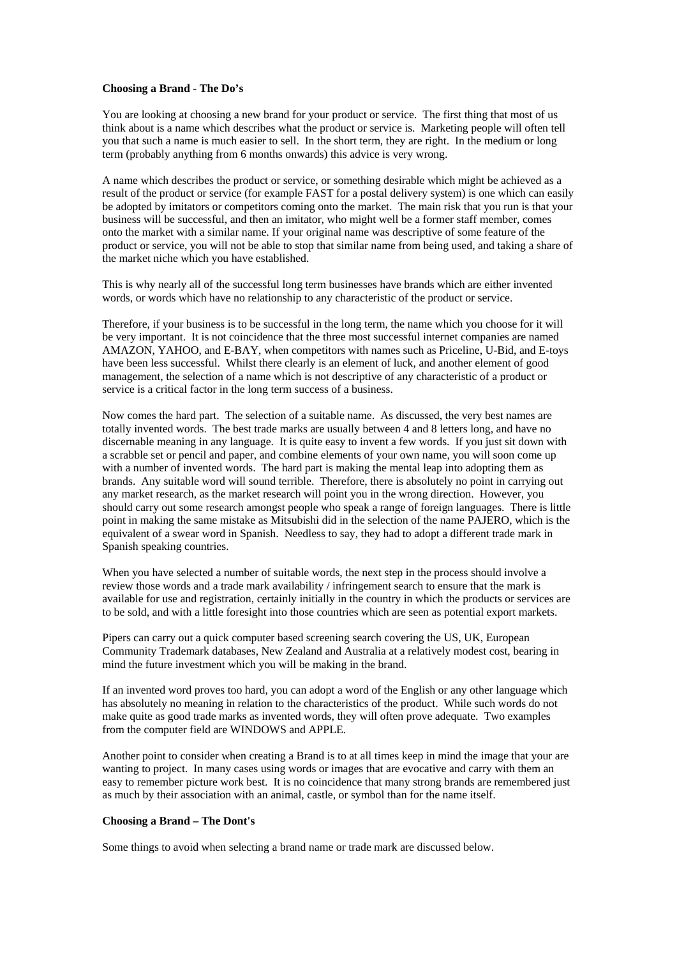## **Choosing a Brand - The Do's**

You are looking at choosing a new brand for your product or service. The first thing that most of us think about is a name which describes what the product or service is. Marketing people will often tell you that such a name is much easier to sell. In the short term, they are right. In the medium or long term (probably anything from 6 months onwards) this advice is very wrong.

A name which describes the product or service, or something desirable which might be achieved as a result of the product or service (for example FAST for a postal delivery system) is one which can easily be adopted by imitators or competitors coming onto the market. The main risk that you run is that your business will be successful, and then an imitator, who might well be a former staff member, comes onto the market with a similar name. If your original name was descriptive of some feature of the product or service, you will not be able to stop that similar name from being used, and taking a share of the market niche which you have established.

This is why nearly all of the successful long term businesses have brands which are either invented words, or words which have no relationship to any characteristic of the product or service.

Therefore, if your business is to be successful in the long term, the name which you choose for it will be very important. It is not coincidence that the three most successful internet companies are named AMAZON, YAHOO, and E-BAY, when competitors with names such as Priceline, U-Bid, and E-toys have been less successful. Whilst there clearly is an element of luck, and another element of good management, the selection of a name which is not descriptive of any characteristic of a product or service is a critical factor in the long term success of a business.

Now comes the hard part. The selection of a suitable name. As discussed, the very best names are totally invented words. The best trade marks are usually between 4 and 8 letters long, and have no discernable meaning in any language. It is quite easy to invent a few words. If you just sit down with a scrabble set or pencil and paper, and combine elements of your own name, you will soon come up with a number of invented words. The hard part is making the mental leap into adopting them as brands. Any suitable word will sound terrible. Therefore, there is absolutely no point in carrying out any market research, as the market research will point you in the wrong direction. However, you should carry out some research amongst people who speak a range of foreign languages. There is little point in making the same mistake as Mitsubishi did in the selection of the name PAJERO, which is the equivalent of a swear word in Spanish. Needless to say, they had to adopt a different trade mark in Spanish speaking countries.

When you have selected a number of suitable words, the next step in the process should involve a review those words and a trade mark availability / infringement search to ensure that the mark is available for use and registration, certainly initially in the country in which the products or services are to be sold, and with a little foresight into those countries which are seen as potential export markets.

Pipers can carry out a quick computer based screening search covering the US, UK, European Community Trademark databases, New Zealand and Australia at a relatively modest cost, bearing in mind the future investment which you will be making in the brand.

If an invented word proves too hard, you can adopt a word of the English or any other language which has absolutely no meaning in relation to the characteristics of the product. While such words do not make quite as good trade marks as invented words, they will often prove adequate. Two examples from the computer field are WINDOWS and APPLE.

Another point to consider when creating a Brand is to at all times keep in mind the image that your are wanting to project. In many cases using words or images that are evocative and carry with them an easy to remember picture work best. It is no coincidence that many strong brands are remembered just as much by their association with an animal, castle, or symbol than for the name itself.

## **Choosing a Brand – The Dont's**

Some things to avoid when selecting a brand name or trade mark are discussed below.